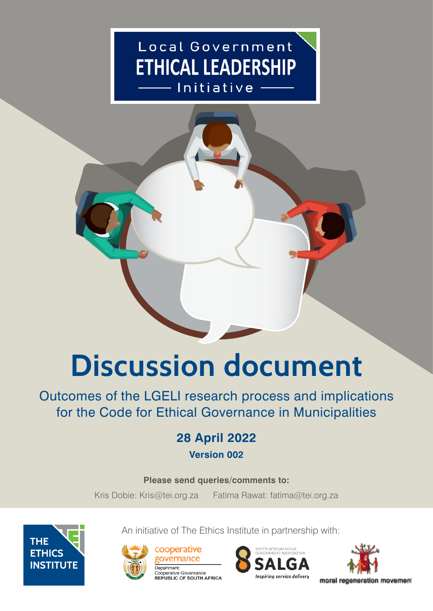## Local Government **ETHICAL LEADERSHIP** — Initiative



# **Discussion document**

Outcomes of the LGELI research process and implications for the Code for Ethical Governance in Municipalities

## **28 April 2022**

**Version 002**

## **Please send queries/comments to:**

Kris Dobie: Kris@tei.org.za Fatima Rawat: fatima@tei.org.za

An initiative of The Ethics Institute in partnership with:





cooperative **Jovernance** Department: Cooperative Governance REPUBLIC OF SOUTH AFRICA



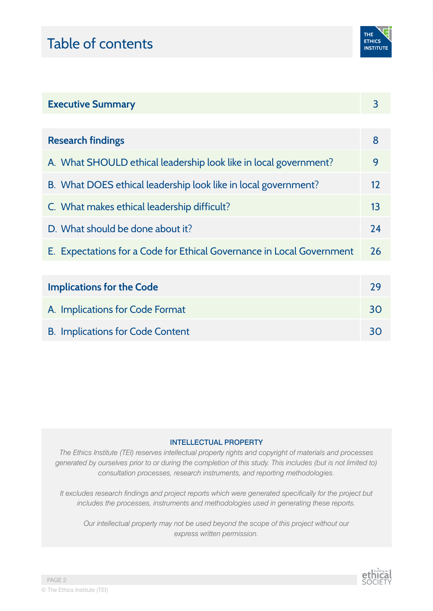## Table of contents



| <b>Executive Summary</b>                                              |    |  |
|-----------------------------------------------------------------------|----|--|
|                                                                       |    |  |
| <b>Research findings</b>                                              | 8  |  |
| A. What SHOULD ethical leadership look like in local government?      | 9  |  |
| B. What DOES ethical leadership look like in local government?        | 12 |  |
| C. What makes ethical leadership difficult?                           | 13 |  |
| D. What should be done about it?                                      | 24 |  |
| E. Expectations for a Code for Ethical Governance in Local Government | 26 |  |
|                                                                       |    |  |
| <b>Implications for the Code</b>                                      | 29 |  |
| A. Implications for Code Format                                       | 30 |  |
| <b>B. Implications for Code Content</b>                               | 30 |  |

#### INTELLECTUAL PROPERTY

*The Ethics Institute (TEI) reserves intellectual property rights and copyright of materials and processes generated by ourselves prior to or during the completion of this study. This includes (but is not limited to) consultation processes, research instruments, and reporting methodologies.* 

*It excludes research findings and project reports which were generated specifically for the project but includes the processes, instruments and methodologies used in generating these reports.* 

*Our intellectual property may not be used beyond the scope of this project without our express written permission.*

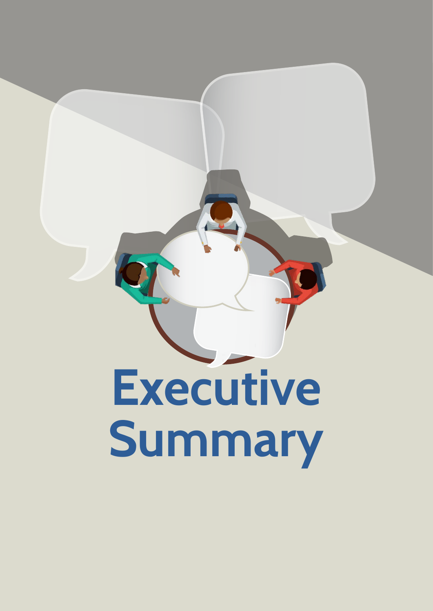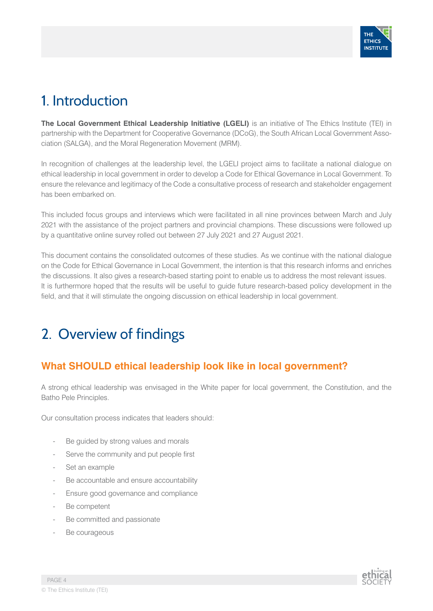

## 1. Introduction

**The Local Government Ethical Leadership Initiative (LGELI)** is an initiative of The Ethics Institute (TEI) in partnership with the Department for Cooperative Governance (DCoG), the South African Local Government Association (SALGA), and the Moral Regeneration Movement (MRM).

In recognition of challenges at the leadership level, the LGELI project aims to facilitate a national dialogue on ethical leadership in local government in order to develop a Code for Ethical Governance in Local Government. To ensure the relevance and legitimacy of the Code a consultative process of research and stakeholder engagement has been embarked on.

This included focus groups and interviews which were facilitated in all nine provinces between March and July 2021 with the assistance of the project partners and provincial champions. These discussions were followed up by a quantitative online survey rolled out between 27 July 2021 and 27 August 2021.

This document contains the consolidated outcomes of these studies. As we continue with the national dialogue on the Code for Ethical Governance in Local Government, the intention is that this research informs and enriches the discussions. It also gives a research-based starting point to enable us to address the most relevant issues. It is furthermore hoped that the results will be useful to guide future research-based policy development in the field, and that it will stimulate the ongoing discussion on ethical leadership in local government.

## 2. Overview of findings

## **What SHOULD ethical leadership look like in local government?**

A strong ethical leadership was envisaged in the White paper for local government, the Constitution, and the Batho Pele Principles.

Our consultation process indicates that leaders should:

- Be guided by strong values and morals
- Serve the community and put people first
- Set an example
- Be accountable and ensure accountability
- Ensure good governance and compliance
- Be competent
- Be committed and passionate
- Be courageous

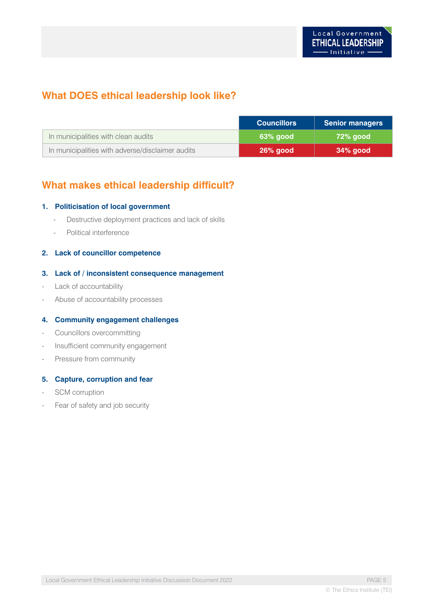## **What DOES ethical leadership look like?**

|                                                  | <b>Councillors</b> | <b>Senior managers</b> |
|--------------------------------------------------|--------------------|------------------------|
| In municipalities with clean audits              | 63% aood           | 72% aood               |
| In municipalities with adverse/disclaimer audits | <b>26% good</b>    | $34%$ good             |

## **What makes ethical leadership difficult?**

#### **1. Politicisation of local government**

- Destructive deployment practices and lack of skills
- Political interference

#### **2. Lack of councillor competence**

#### **3. Lack of / inconsistent consequence management**

- Lack of accountability
- Abuse of accountability processes

#### **4. Community engagement challenges**

- Councillors overcommitting
- Insufficient community engagement
- Pressure from community

#### **5. Capture, corruption and fear**

- SCM corruption
- Fear of safety and job security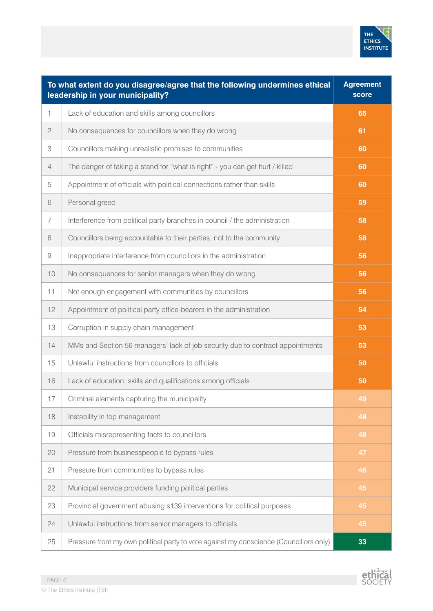

|                | To what extent do you disagree/agree that the following undermines ethical<br>leadership in your municipality? | <b>Agreement</b><br><b>score</b> |
|----------------|----------------------------------------------------------------------------------------------------------------|----------------------------------|
| 1              | Lack of education and skills among councillors                                                                 | 65                               |
| $\mathbf{2}$   | No consequences for councillors when they do wrong                                                             | 61                               |
| 3              | Councillors making unrealistic promises to communities                                                         | 60                               |
| $\overline{4}$ | The danger of taking a stand for "what is right" - you can get hurt / killed                                   | 60                               |
| 5              | Appointment of officials with political connections rather than skills                                         | 60                               |
| $6\,$          | Personal greed                                                                                                 | 59                               |
| 7              | Interference from political party branches in council / the administration                                     | 58                               |
| $\,8\,$        | Councillors being accountable to their parties, not to the community                                           | 58                               |
| 9              | Inappropriate interference from councillors in the administration                                              | 56                               |
| 10             | No consequences for senior managers when they do wrong                                                         | 56                               |
| 11             | Not enough engagement with communities by councillors                                                          | 56                               |
| 12             | Appointment of political party office-bearers in the administration                                            | 54                               |
| 13             | Corruption in supply chain management                                                                          | 53                               |
| 14             | MMs and Section 56 managers' lack of job security due to contract appointments                                 | 53                               |
| 15             | Unlawful instructions from councillors to officials                                                            | 50                               |
| 16             | Lack of education, skills and qualifications among officials                                                   | 50                               |
| 17             | Criminal elements capturing the municipality                                                                   | 49                               |
| 18             | Instability in top management                                                                                  | 48                               |
| 19             | Officials misrepresenting facts to councillors                                                                 | 48                               |
| 20             | Pressure from businesspeople to bypass rules                                                                   | 47                               |
| 21             | Pressure from communities to bypass rules                                                                      | 46                               |
| 22             | Municipal service providers funding political parties                                                          | 45                               |
| 23             | Provincial government abusing s139 interventions for political purposes                                        | 45                               |
| 24             | Unlawful instructions from senior managers to officials                                                        | 45                               |
| 25             | Pressure from my own political party to vote against my conscience (Councillors only)                          | 33                               |

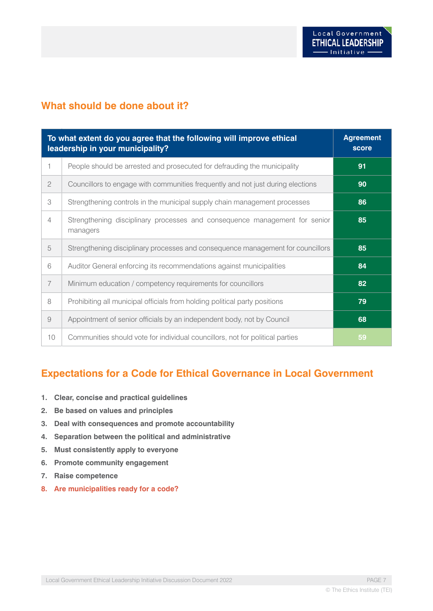### **What should be done about it?**

| To what extent do you agree that the following will improve ethical<br>leadership in your municipality? |                                                                                        | <b>Agreement</b><br>score |
|---------------------------------------------------------------------------------------------------------|----------------------------------------------------------------------------------------|---------------------------|
| 1                                                                                                       | People should be arrested and prosecuted for defrauding the municipality               | 91                        |
| $\mathbf{2}$                                                                                            | Councillors to engage with communities frequently and not just during elections        | 90                        |
| 3                                                                                                       | Strengthening controls in the municipal supply chain management processes              | 86                        |
| 4                                                                                                       | Strengthening disciplinary processes and consequence management for senior<br>managers | 85                        |
| 5                                                                                                       | Strengthening disciplinary processes and consequence management for councillors        | 85                        |
| 6                                                                                                       | Auditor General enforcing its recommendations against municipalities                   | 84                        |
| $\overline{7}$                                                                                          | Minimum education / competency requirements for councillors                            | 82                        |
| 8                                                                                                       | Prohibiting all municipal officials from holding political party positions             | 79                        |
| $\overline{9}$                                                                                          | Appointment of senior officials by an independent body, not by Council                 | 68                        |
| 10                                                                                                      | Communities should vote for individual councillors, not for political parties          | 59                        |

### **Expectations for a Code for Ethical Governance in Local Government**

- **1. Clear, concise and practical guidelines**
- **2. Be based on values and principles**
- **3. Deal with consequences and promote accountability**
- **4. Separation between the political and administrative**
- **5. Must consistently apply to everyone**
- **6. Promote community engagement**
- **7. Raise competence**
- **8. Are municipalities ready for a code?**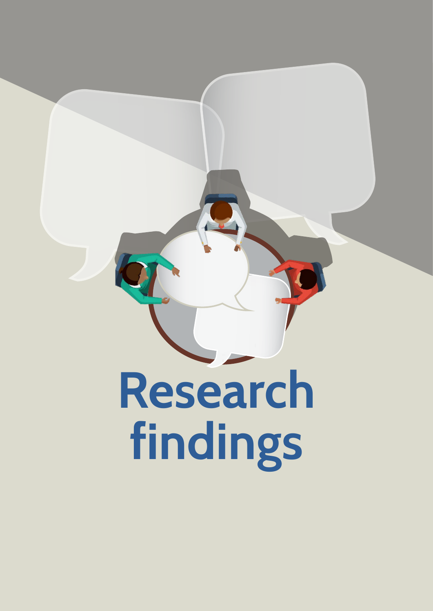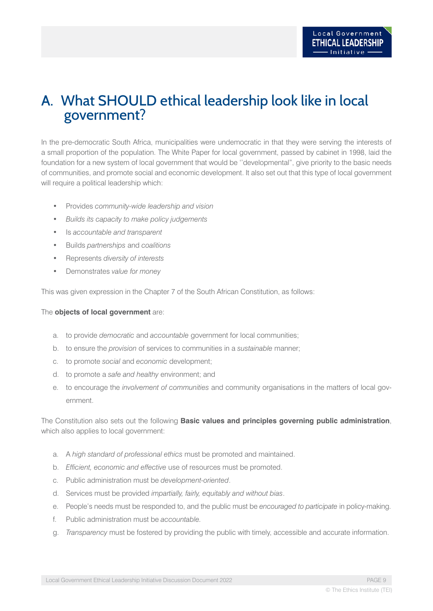## A. What SHOULD ethical leadership look like in local government?

In the pre-democratic South Africa, municipalities were undemocratic in that they were serving the interests of a small proportion of the population. The White Paper for local government, passed by cabinet in 1998, laid the foundation for a new system of local government that would be ''developmental", give priority to the basic needs of communities, and promote social and economic development. It also set out that this type of local government will require a political leadership which:

- Provides *community-wide leadership and vision*
- *• Builds its capacity to make policy judgements*
- Is *accountable and transparent*
- Builds *partnerships* and *coalitions*
- Represents *diversity of interests*
- Demonstrates *value for money*

This was given expression in the Chapter 7 of the South African Constitution, as follows:

#### The **objects of local government** are:

- a. to provide *democratic* and *accountable* government for local communities;
- b. to ensure the *provision* of services to communities in a *sustainable* manner;
- c. to promote *social* and *economic* development;
- d. to promote a *safe and healthy* environment; and
- e. to encourage the *involvement of communities* and community organisations in the matters of local government.

### The Constitution also sets out the following **Basic values and principles governing public administration**, which also applies to local government:

- a. A *high standard of professional ethics* must be promoted and maintained.
- b. *Efficient, economic and effective* use of resources must be promoted.
- c. Public administration must be *development-oriented*.
- d. Services must be provided *impartially, fairly, equitably and without bias*.
- e. People's needs must be responded to, and the public must be *encouraged to participate* in policy-making.
- f. Public administration must be *accountable.*
- g. *Transparency* must be fostered by providing the public with timely, accessible and accurate information.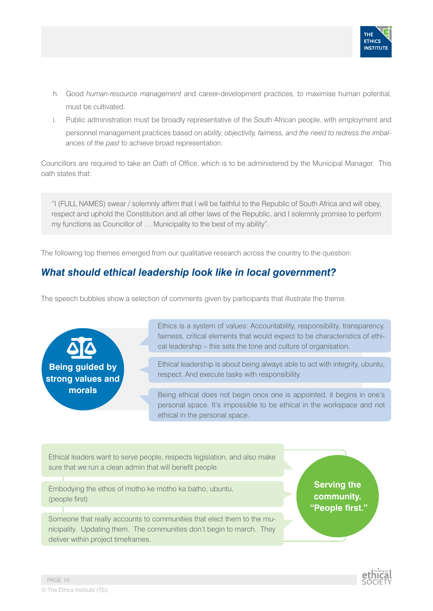

- h. Good *human-resource management* and career-development practices, to maximise human potential, must be cultivated.
- i. Public administration must be broadly representative of the South African people, with employment and personnel management practices based on *ability, objectivity, fairness, and the need to redress the imbalances of the past* to achieve broad representation.

Councillors are required to take an Oath of Office, which is to be administered by the Municipal Manager. This oath states that:

"I (FULL NAMES) swear / solemnly affirm that I will be faithful to the Republic of South Africa and will obey, respect and uphold the Constitution and all other laws of the Republic, and I solemnly promise to perform my functions as Councillor of … Municipality to the best of my ability".

The following top themes emerged from our qualitative research across the country to the question:

## *What should ethical leadership look like in local government?*

The speech bubbles show a selection of comments given by participants that illustrate the theme.

**Being guided by strong values and morals**

Ethics is a system of values: Accountability, responsibility, transparency, fairness, critical elements that would expect to be characteristics of ethical leadership – this sets the tone and culture of organisation.

Ethical leadership is about being always able to act with integrity, ubuntu, respect. And execute tasks with responsibility.

Being ethical does not begin once one is appointed, it begins in one's personal space. It's impossible to be ethical in the workspace and not ethical in the personal space.

Ethical leaders want to serve people, respects legislation, and also make sure that we run a clean admin that will benefit people.

Embodying the ethos of motho ke motho ka batho, ubuntu, (people first)

Someone that really accounts to communities that elect them to the municipality. Updating them. The communities don't begin to march. They deliver within project timeframes.

**Serving the community. "People first."**

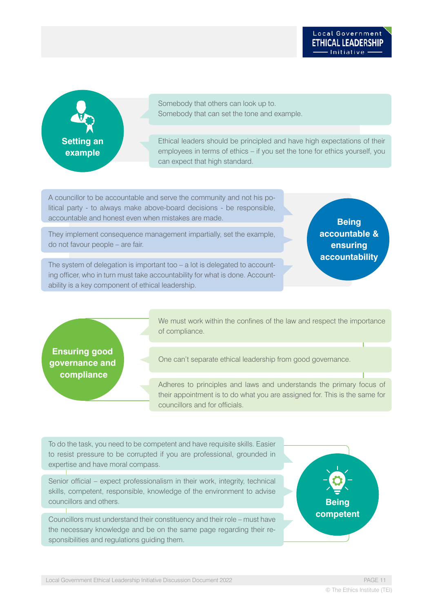**Setting an example**

Somebody that others can look up to. Somebody that can set the tone and example.

Ethical leaders should be principled and have high expectations of their employees in terms of ethics – if you set the tone for ethics yourself, you can expect that high standard.

A councillor to be accountable and serve the community and not his political party - to always make above-board decisions - be responsible, accountable and honest even when mistakes are made.

They implement consequence management impartially, set the example, do not favour people – are fair.

**Being accountable & ensuring accountability**

The system of delegation is important too – a lot is delegated to accounting officer, who in turn must take accountability for what is done. Accountability is a key component of ethical leadership.

**Ensuring good governance and compliance** 

We must work within the confines of the law and respect the importance of compliance.

One can't separate ethical leadership from good governance.

Adheres to principles and laws and understands the primary focus of their appointment is to do what you are assigned for. This is the same for councillors and for officials.

To do the task, you need to be competent and have requisite skills. Easier to resist pressure to be corrupted if you are professional, grounded in expertise and have moral compass.

Senior official – expect professionalism in their work, integrity, technical skills, competent, responsible, knowledge of the environment to advise councillors and others.

Councillors must understand their constituency and their role – must have the necessary knowledge and be on the same page regarding their responsibilities and regulations guiding them.

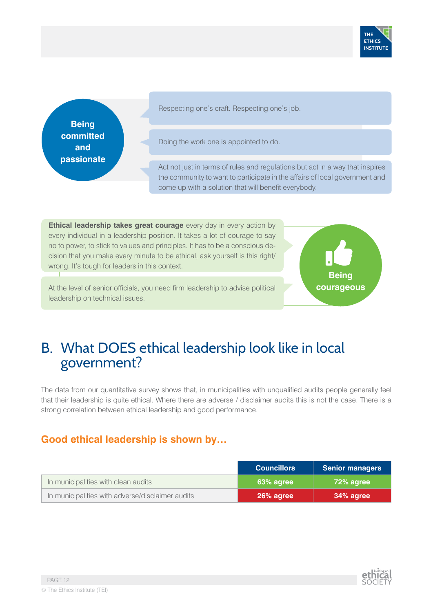

**Being committed and passionate**  Respecting one's craft. Respecting one's job.

Doing the work one is appointed to do.

Act not just in terms of rules and regulations but act in a way that inspires the community to want to participate in the affairs of local government and come up with a solution that will benefit everybody.

**Ethical leadership takes great courage** every day in every action by every individual in a leadership position. It takes a lot of courage to say no to power, to stick to values and principles. It has to be a conscious decision that you make every minute to be ethical, ask yourself is this right/ wrong. It's tough for leaders in this context.



At the level of senior officials, you need firm leadership to advise political leadership on technical issues.

## B. What DOES ethical leadership look like in local government?

The data from our quantitative survey shows that, in municipalities with unqualified audits people generally feel that their leadership is quite ethical. Where there are adverse / disclaimer audits this is not the case. There is a strong correlation between ethical leadership and good performance.

## **Good ethical leadership is shown by…**

|                                                  | <b>Councillors</b> | <b>Senior managers</b> |
|--------------------------------------------------|--------------------|------------------------|
| In municipalities with clean audits              | 63% agree          | 72% agree              |
| In municipalities with adverse/disclaimer audits | 26% agree          | 34% agree              |

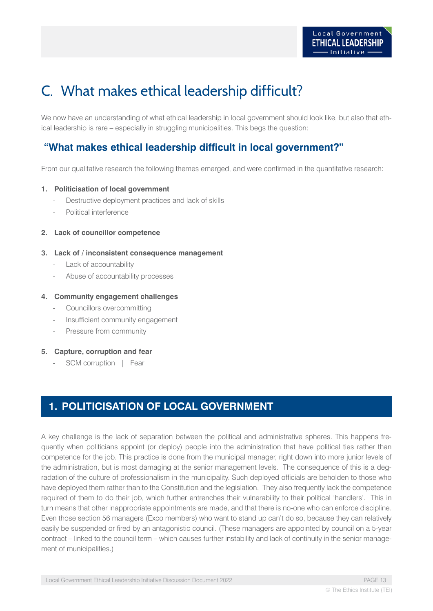## C. What makes ethical leadership difficult?

We now have an understanding of what ethical leadership in local government should look like, but also that ethical leadership is rare – especially in struggling municipalities. This begs the question:

### **"What makes ethical leadership difficult in local government?"**

From our qualitative research the following themes emerged, and were confirmed in the quantitative research:

#### **1. Politicisation of local government**

- Destructive deployment practices and lack of skills
- Political interference
- **2. Lack of councillor competence**

#### **3. Lack of / inconsistent consequence management**

- Lack of accountability
- Abuse of accountability processes

#### **4. Community engagement challenges**

- Councillors overcommitting
- Insufficient community engagement
- Pressure from community

#### **5. Capture, corruption and fear**

SCM corruption | Fear

## **1. POLITICISATION OF LOCAL GOVERNMENT**

A key challenge is the lack of separation between the political and administrative spheres. This happens frequently when politicians appoint (or deploy) people into the administration that have political ties rather than competence for the job. This practice is done from the municipal manager, right down into more junior levels of the administration, but is most damaging at the senior management levels. The consequence of this is a degradation of the culture of professionalism in the municipality. Such deployed officials are beholden to those who have deployed them rather than to the Constitution and the legislation. They also frequently lack the competence required of them to do their job, which further entrenches their vulnerability to their political 'handlers'. This in turn means that other inappropriate appointments are made, and that there is no-one who can enforce discipline. Even those section 56 managers (Exco members) who want to stand up can't do so, because they can relatively easily be suspended or fired by an antagonistic council. (These managers are appointed by council on a 5-year contract – linked to the council term – which causes further instability and lack of continuity in the senior management of municipalities.)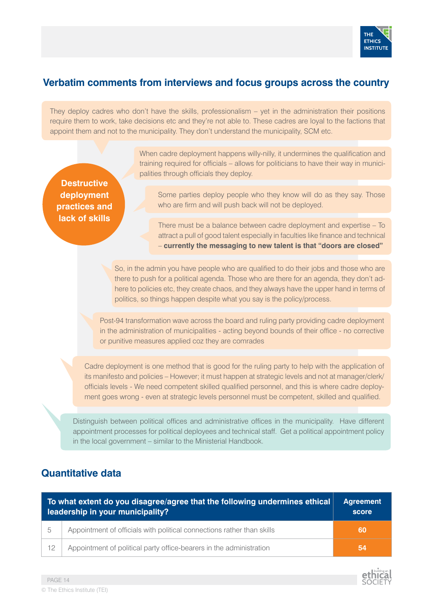

### **Verbatim comments from interviews and focus groups across the country**

They deploy cadres who don't have the skills, professionalism – yet in the administration their positions require them to work, take decisions etc and they're not able to. These cadres are loyal to the factions that appoint them and not to the municipality. They don't understand the municipality, SCM etc.

> When cadre deployment happens willy-nilly, it undermines the qualification and training required for officials – allows for politicians to have their way in municipalities through officials they deploy.

**Destructive deployment practices and lack of skills**

Some parties deploy people who they know will do as they say. Those who are firm and will push back will not be deployed.

There must be a balance between cadre deployment and expertise – To attract a pull of good talent especially in faculties like finance and technical – **currently the messaging to new talent is that "doors are closed"**

So, in the admin you have people who are qualified to do their jobs and those who are there to push for a political agenda. Those who are there for an agenda, they don't adhere to policies etc, they create chaos, and they always have the upper hand in terms of politics, so things happen despite what you say is the policy/process.

Post-94 transformation wave across the board and ruling party providing cadre deployment in the administration of municipalities - acting beyond bounds of their office - no corrective or punitive measures applied coz they are comrades

Cadre deployment is one method that is good for the ruling party to help with the application of its manifesto and policies – However; it must happen at strategic levels and not at manager/clerk/ officials levels - We need competent skilled qualified personnel, and this is where cadre deployment goes wrong - even at strategic levels personnel must be competent, skilled and qualified.

Distinguish between political offices and administrative offices in the municipality. Have different appointment processes for political deployees and technical staff. Get a political appointment policy in the local government – similar to the Ministerial Handbook.

## **Quantitative data**

|                | To what extent do you disagree/agree that the following undermines ethical<br>leadership in your municipality? | <b>Agreement</b><br>score |
|----------------|----------------------------------------------------------------------------------------------------------------|---------------------------|
| $\overline{5}$ | Appointment of officials with political connections rather than skills                                         | 60                        |
| 12             | Appointment of political party office-bearers in the administration                                            | 54                        |

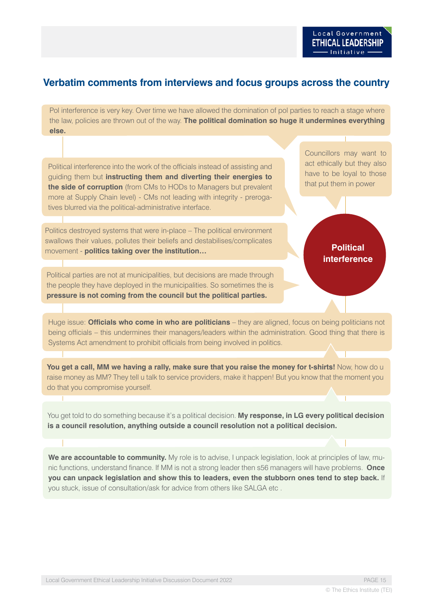### **Verbatim comments from interviews and focus groups across the country**

Pol interference is very key. Over time we have allowed the domination of pol parties to reach a stage where the law, policies are thrown out of the way. **The political domination so huge it undermines everything else.**

Political interference into the work of the officials instead of assisting and guiding them but **instructing them and diverting their energies to the side of corruption** (from CMs to HODs to Managers but prevalent more at Supply Chain level) - CMs not leading with integrity - prerogatives blurred via the political-administrative interface.

Politics destroyed systems that were in-place – The political environment swallows their values, pollutes their beliefs and destabilises/complicates movement - **politics taking over the institution…**

Political parties are not at municipalities, but decisions are made through the people they have deployed in the municipalities. So sometimes the is **pressure is not coming from the council but the political parties.**

Councillors may want to act ethically but they also have to be loyal to those that put them in power

### **Political interference**

Huge issue: **Officials who come in who are politicians** – they are aligned, focus on being politicians not being officials – this undermines their managers/leaders within the administration. Good thing that there is Systems Act amendment to prohibit officials from being involved in politics.

**You get a call, MM we having a rally, make sure that you raise the money for t-shirts!** Now, how do u raise money as MM? They tell u talk to service providers, make it happen! But you know that the moment you do that you compromise yourself.

You get told to do something because it's a political decision. **My response, in LG every political decision is a council resolution, anything outside a council resolution not a political decision.**

**We are accountable to community.** My role is to advise, I unpack legislation, look at principles of law, munic functions, understand finance. If MM is not a strong leader then s56 managers will have problems. **Once you can unpack legislation and show this to leaders, even the stubborn ones tend to step back.** If you stuck, issue of consultation/ask for advice from others like SALGA etc .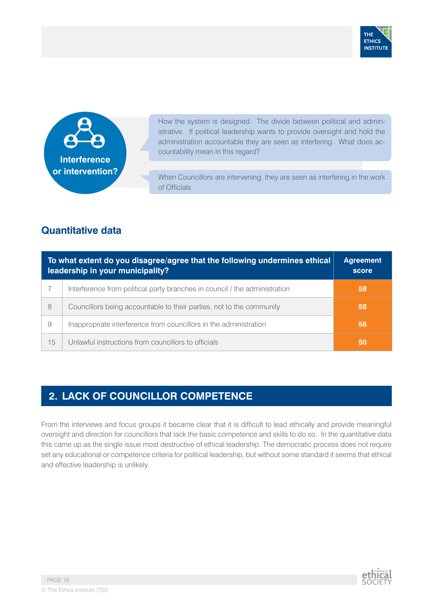



How the system is designed. The divide between political and administrative. If political leadership wants to provide oversight and hold the administration accountable they are seen as interfering. What does accountability mean in this regard?

When Councillors are intervening, they are seen as interfering in the work of Officials

## **Quantitative data**

|    | To what extent do you disagree/agree that the following undermines ethical<br>leadership in your municipality? | <b>Agreement</b><br>score |
|----|----------------------------------------------------------------------------------------------------------------|---------------------------|
|    | Interference from political party branches in council / the administration                                     | 58                        |
| 8  | Councillors being accountable to their parties, not to the community                                           | 58                        |
| 9  | Inappropriate interference from councillors in the administration                                              | 56                        |
| 15 | Unlawful instructions from councillors to officials                                                            | 50                        |

## **2. LACK OF COUNCILLOR COMPETENCE**

From the interviews and focus groups it became clear that it is difficult to lead ethically and provide meaningful oversight and direction for councillors that lack the basic competence and skills to do so. In the quantitative data this came up as the single issue most destructive of ethical leadership. The democratic process does not require set any educational or competence criteria for political leadership, but without some standard it seems that ethical and effective leadership is unlikely.

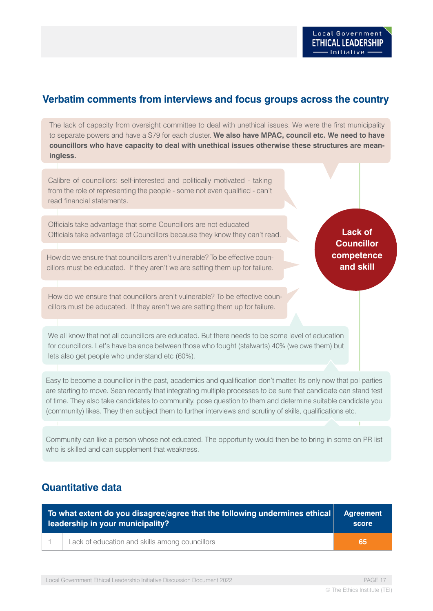**Lack of Councillor competence and skill**

### **Verbatim comments from interviews and focus groups across the country**

The lack of capacity from oversight committee to deal with unethical issues. We were the first municipality to separate powers and have a S79 for each cluster. **We also have MPAC, council etc. We need to have councillors who have capacity to deal with unethical issues otherwise these structures are meaningless.**

Calibre of councillors: self-interested and politically motivated - taking from the role of representing the people - some not even qualified - can't read financial statements.

Officials take advantage that some Councillors are not educated Officials take advantage of Councillors because they know they can't read.

How do we ensure that councillors aren't vulnerable? To be effective councillors must be educated. If they aren't we are setting them up for failure.

How do we ensure that councillors aren't vulnerable? To be effective councillors must be educated. If they aren't we are setting them up for failure.

We all know that not all councillors are educated. But there needs to be some level of education for councillors. Let's have balance between those who fought (stalwarts) 40% (we owe them) but lets also get people who understand etc (60%).

Easy to become a councillor in the past, academics and qualification don't matter. Its only now that pol parties are starting to move. Seen recently that integrating multiple processes to be sure that candidate can stand test of time. They also take candidates to community, pose question to them and determine suitable candidate you (community) likes. They then subject them to further interviews and scrutiny of skills, qualifications etc.

Community can like a person whose not educated. The opportunity would then be to bring in some on PR list who is skilled and can supplement that weakness.

### **Quantitative data**

| To what extent do you disagree/agree that the following undermines ethical |                                                | Agreement          |
|----------------------------------------------------------------------------|------------------------------------------------|--------------------|
| leadership in your municipality?                                           |                                                | score <sup>®</sup> |
|                                                                            | Lack of education and skills among councillors | -65                |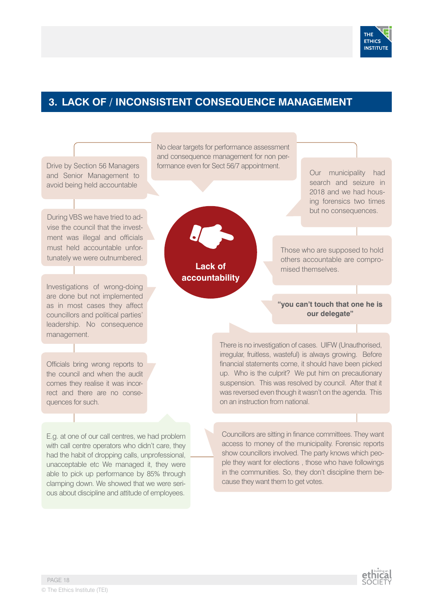

## **3. LACK OF / INCONSISTENT CONSEQUENCE MANAGEMENT**

Drive by Section 56 Managers and Senior Management to avoid being held accountable No clear targets for performance assessment and consequence management for non performance even for Sect 56/7 appointment. Our municipality had search and seizure in 2018 and we had housing forensics two times but no consequences. Those who are supposed to hold others accountable are compromised themselves. **"you can't touch that one he is our delegate"** During VBS we have tried to advise the council that the investment was illegal and officials must held accountable unfortunately we were outnumbered. Investigations of wrong-doing are done but not implemented as in most cases they affect councillors and political parties' leadership. No consequence management. There is no investigation of cases. UIFW (Unauthorised, irregular, fruitless, wasteful) is always growing. Before financial statements come, it should have been picked up. Who is the culprit? We put him on precautionary suspension. This was resolved by council. After that it was reversed even though it wasn't on the agenda. This on an instruction from national. Officials bring wrong reports to the council and when the audit comes they realise it was incorrect and there are no consequences for such. Councillors are sitting in finance committees. They want access to money of the municipality. Forensic reports E.g. at one of our call centres, we had problem **Lack of accountability**

with call centre operators who didn't care, they had the habit of dropping calls, unprofessional, unacceptable etc We managed it, they were able to pick up performance by 85% through clamping down. We showed that we were serious about discipline and attitude of employees.



show councillors involved. The party knows which people they want for elections , those who have followings in the communities. So, they don't discipline them be-

cause they want them to get votes.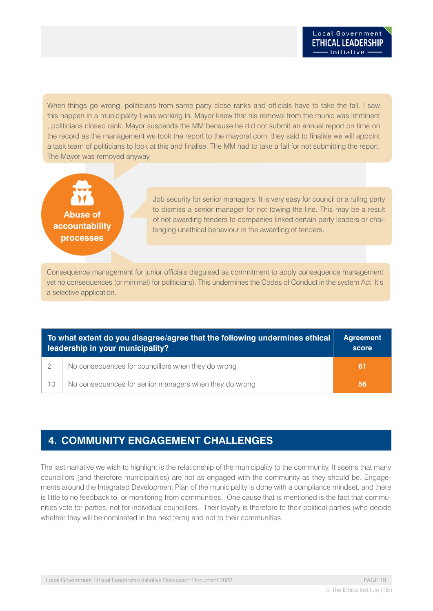When things go wrong, politicians from same party close ranks and officials have to take the fall. I saw this happen in a municipality I was working in. Mayor knew that his removal from the munic was imminent , politicians closed rank. Mayor suspends the MM because he did not submit an annual report on time on the record as the management we took the report to the mayoral com, they said to finalise we will appoint a task team of politicians to look at this and finalise. The MM had to take a fall for not submitting the report. The Mayor was removed anyway.



Job security for senior managers. It is very easy for council or a ruling party to dismiss a senior manager for not towing the line. This may be a result of not awarding tenders to companies linked certain party leaders or challenging unethical behaviour in the awarding of tenders.

Consequence management for junior officials disguised as commitment to apply consequence management yet no consequences (or minimal) for politicians). This undermines the Codes of Conduct in the system Act. It's a selective application.

| To what extent do you disagree/agree that the following undermines ethical<br>leadership in your municipality? |                                                        | <b>Agreement</b><br>score |
|----------------------------------------------------------------------------------------------------------------|--------------------------------------------------------|---------------------------|
|                                                                                                                | No consequences for councillors when they do wrong     | -61                       |
| 10                                                                                                             | No consequences for senior managers when they do wrong | -56                       |

## **4. COMMUNITY ENGAGEMENT CHALLENGES**

The last narrative we wish to highlight is the relationship of the municipality to the community. It seems that many councillors (and therefore municipalities) are not as engaged with the community as they should be. Engagements around the Integrated Development Plan of the municipality is done with a compliance mindset, and there is little to no feedback to, or monitoring from communities. One cause that is mentioned is the fact that communities vote for parties, not for individual councillors. Their loyalty is therefore to their political parties (who decide whether they will be nominated in the next term) and not to their communities.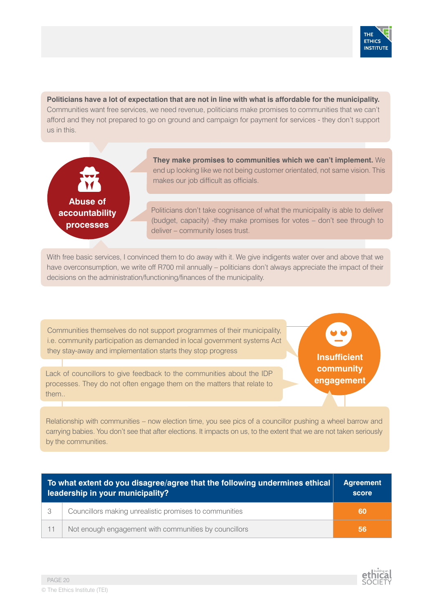

**Politicians have a lot of expectation that are not in line with what is affordable for the municipality.** Communities want free services, we need revenue, politicians make promises to communities that we can't afford and they not prepared to go on ground and campaign for payment for services - they don't support us in this.



**They make promises to communities which we can't implement.** We end up looking like we not being customer orientated, not same vision. This makes our job difficult as officials.

Politicians don't take cognisance of what the municipality is able to deliver (budget, capacity) -they make promises for votes – don't see through to deliver – community loses trust.

With free basic services, I convinced them to do away with it. We give indigents water over and above that we have overconsumption, we write off R700 mil annually – politicians don't always appreciate the impact of their decisions on the administration/functioning/finances of the municipality.

Communities themselves do not support programmes of their municipality, i.e. community participation as demanded in local government systems Act they stay-away and implementation starts they stop progress

Lack of councillors to give feedback to the communities about the IDP processes. They do not often engage them on the matters that relate to them..

**Insufficient community engagement**

Relationship with communities – now election time, you see pics of a councillor pushing a wheel barrow and carrying babies. You don't see that after elections. It impacts on us, to the extent that we are not taken seriously by the communities.

|    | To what extent do you disagree/agree that the following undermines ethical<br>leadership in your municipality? | <b>Agreement</b><br>score |
|----|----------------------------------------------------------------------------------------------------------------|---------------------------|
|    | Councillors making unrealistic promises to communities                                                         | -60                       |
| 11 | Not enough engagement with communities by councillors                                                          | -56                       |

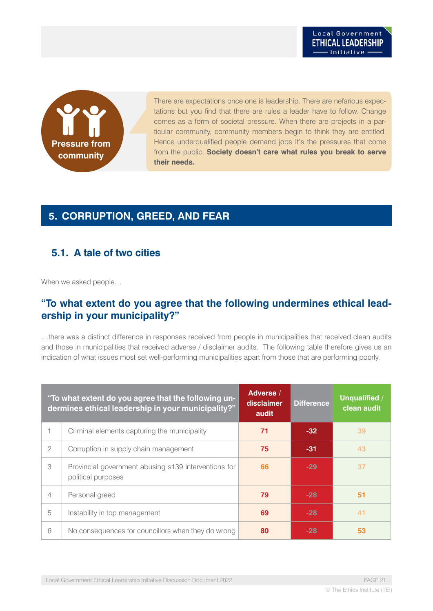

There are expectations once one is leadership. There are nefarious expectations but you find that there are rules a leader have to follow. Change comes as a form of societal pressure. When there are projects in a particular community, community members begin to think they are entitled. Hence underqualified people demand jobs It's the pressures that come from the public. **Society doesn't care what rules you break to serve their needs.**

## **5. CORRUPTION, GREED, AND FEAR**

### **5.1. A tale of two cities**

When we asked people…

### **"To what extent do you agree that the following undermines ethical leadership in your municipality?"**

…there was a distinct difference in responses received from people in municipalities that received clean audits and those in municipalities that received adverse / disclaimer audits. The following table therefore gives us an indication of what issues most set well-performing municipalities apart from those that are performing poorly.

|                | "To what extent do you agree that the following un-<br>dermines ethical leadership in your municipality?" | Adverse /<br>disclaimer<br>audit | <b>Difference</b> | Unqualified /<br>clean audit |
|----------------|-----------------------------------------------------------------------------------------------------------|----------------------------------|-------------------|------------------------------|
|                | Criminal elements capturing the municipality                                                              | 71                               | $-32$             | 39                           |
| $\overline{2}$ | Corruption in supply chain management                                                                     | 75                               | $-31$             | 43                           |
| 3              | Provincial government abusing s139 interventions for<br>political purposes                                | 66                               | $-29$             | 37                           |
| 4              | Personal greed                                                                                            | 79                               | $-28$             | 51                           |
| 5              | Instability in top management                                                                             | 69                               | $-28$             | 41                           |
| 6              | No consequences for councillors when they do wrong                                                        | 80                               | $-28$             | 53                           |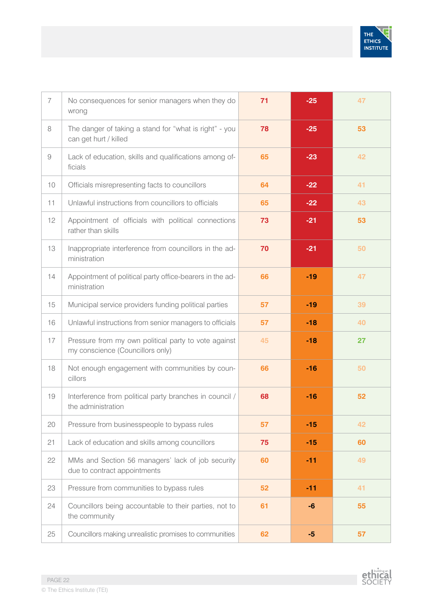

| $\overline{7}$ | No consequences for senior managers when they do<br>wrong                                | 71 | $-25$ | 47 |
|----------------|------------------------------------------------------------------------------------------|----|-------|----|
| 8              | The danger of taking a stand for "what is right" - you<br>can get hurt / killed          | 78 | $-25$ | 53 |
| $\overline{9}$ | Lack of education, skills and qualifications among of-<br>ficials                        | 65 | $-23$ | 42 |
| 10             | Officials misrepresenting facts to councillors                                           | 64 | $-22$ | 41 |
| 11             | Unlawful instructions from councillors to officials                                      | 65 | $-22$ | 43 |
| 12             | Appointment of officials with political connections<br>rather than skills                | 73 | $-21$ | 53 |
| 13             | Inappropriate interference from councillors in the ad-<br>ministration                   | 70 | $-21$ | 50 |
| 14             | Appointment of political party office-bearers in the ad-<br>ministration                 | 66 | $-19$ | 47 |
| 15             | Municipal service providers funding political parties                                    | 57 | $-19$ | 39 |
| 16             | Unlawful instructions from senior managers to officials                                  | 57 | $-18$ | 40 |
| 17             | Pressure from my own political party to vote against<br>my conscience (Councillors only) | 45 | $-18$ | 27 |
| 18             | Not enough engagement with communities by coun-<br>cillors                               | 66 | $-16$ | 50 |
| 19             | Interference from political party branches in council /<br>the administration            | 68 | $-16$ | 52 |
| 20             | Pressure from businesspeople to bypass rules                                             | 57 | $-15$ | 42 |
| 21             | Lack of education and skills among councillors                                           | 75 | $-15$ | 60 |
| 22             | MMs and Section 56 managers' lack of job security<br>due to contract appointments        | 60 | $-11$ | 49 |
| 23             | Pressure from communities to bypass rules                                                | 52 | $-11$ | 41 |
| 24             | Councillors being accountable to their parties, not to<br>the community                  | 61 | -6    | 55 |
| 25             | Councillors making unrealistic promises to communities                                   | 62 | $-5$  | 57 |

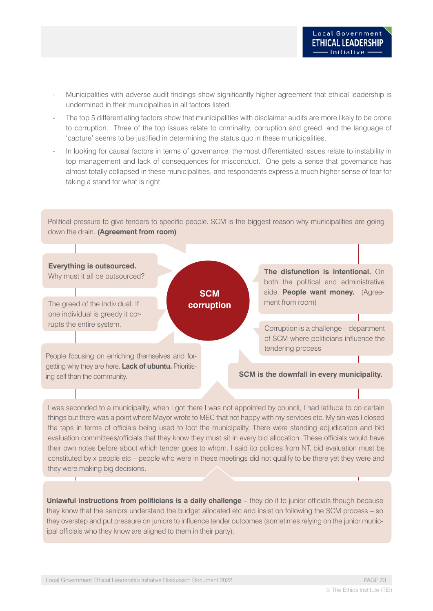- Municipalities with adverse audit findings show significantly higher agreement that ethical leadership is undermined in their municipalities in all factors listed.
- The top 5 differentiating factors show that municipalities with disclaimer audits are more likely to be prone to corruption. Three of the top issues relate to criminality, corruption and greed, and the language of 'capture' seems to be justified in determining the status quo in these municipalities.
- In looking for causal factors in terms of governance, the most differentiated issues relate to instability in top management and lack of consequences for misconduct. One gets a sense that governance has almost totally collapsed in these municipalities, and respondents express a much higher sense of fear for taking a stand for what is right.

Political pressure to give tenders to specific people. SCM is the biggest reason why municipalities are going down the drain. **(Agreement from room)**



I was seconded to a municipality, when I got there I was not appointed by council, I had latitude to do certain things but there was a point where Mayor wrote to MEC that not happy with my services etc. My sin was I closed the taps in terms of officials being used to loot the municipality. There were standing adjudication and bid evaluation committees/officials that they know they must sit in every bid allocation. These officials would have their own notes before about which tender goes to whom. I said ito policies from NT, bid evaluation must be constituted by x people etc – people who were in these meetings did not qualify to be there yet they were and they were making big decisions.

**Unlawful instructions from politicians is a daily challenge** – they do it to junior officials though because they know that the seniors understand the budget allocated etc and insist on following the SCM process – so they overstep and put pressure on juniors to influence tender outcomes (sometimes relying on the junior municipal officials who they know are aligned to them in their party).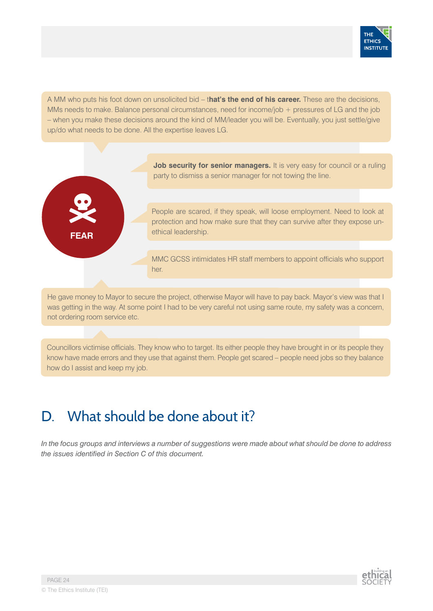

A MM who puts his foot down on unsolicited bid – t**hat's the end of his career.** These are the decisions, MMs needs to make. Balance personal circumstances, need for income/job + pressures of LG and the job – when you make these decisions around the kind of MM/leader you will be. Eventually, you just settle/give up/do what needs to be done. All the expertise leaves LG.



**Job security for senior managers.** It is very easy for council or a ruling party to dismiss a senior manager for not towing the line.

People are scared, if they speak, will loose employment. Need to look at protection and how make sure that they can survive after they expose unethical leadership.

MMC GCSS intimidates HR staff members to appoint officials who support her.

He gave money to Mayor to secure the project, otherwise Mayor will have to pay back. Mayor's view was that I was getting in the way. At some point I had to be very careful not using same route, my safety was a concern, not ordering room service etc.

Councillors victimise officials. They know who to target. Its either people they have brought in or its people they know have made errors and they use that against them. People get scared – people need jobs so they balance how do I assist and keep my job.

## D. What should be done about it?

*In the focus groups and interviews a number of suggestions were made about what should be done to address the issues identified in Section C of this document.* 

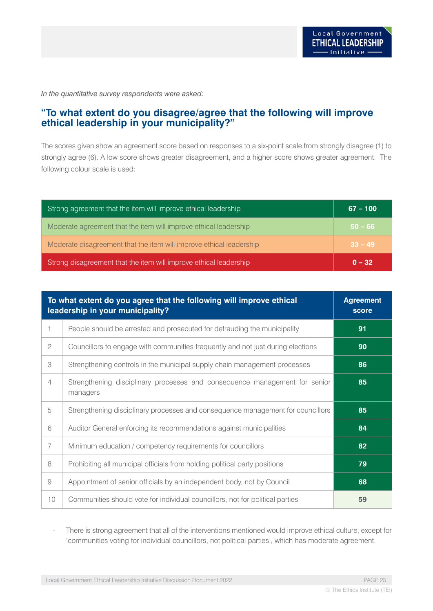*In the quantitative survey respondents were asked:* 

### **"To what extent do you disagree/agree that the following will improve ethical leadership in your municipality?"**

The scores given show an agreement score based on responses to a six-point scale from strongly disagree (1) to strongly agree (6). A low score shows greater disagreement, and a higher score shows greater agreement. The following colour scale is used:

| Strong agreement that the item will improve ethical leadership      | $67 - 100$ |
|---------------------------------------------------------------------|------------|
| Moderate agreement that the item will improve ethical leadership    | $50 - 66$  |
| Moderate disagreement that the item will improve ethical leadership | $33 - 49$  |
| Strong disagreement that the item will improve ethical leadership   | $0 - 32$   |

| To what extent do you agree that the following will improve ethical<br>leadership in your municipality? |                                                                                        | <b>Agreement</b><br>score |
|---------------------------------------------------------------------------------------------------------|----------------------------------------------------------------------------------------|---------------------------|
|                                                                                                         | People should be arrested and prosecuted for defrauding the municipality               | 91                        |
| $\mathbf{2}$                                                                                            | Councillors to engage with communities frequently and not just during elections        | 90                        |
| 3                                                                                                       | Strengthening controls in the municipal supply chain management processes              | 86                        |
| $\overline{4}$                                                                                          | Strengthening disciplinary processes and consequence management for senior<br>managers | 85                        |
| 5                                                                                                       | Strengthening disciplinary processes and consequence management for councillors        | 85                        |
| 6                                                                                                       | Auditor General enforcing its recommendations against municipalities                   | 84                        |
| $\overline{7}$                                                                                          | Minimum education / competency requirements for councillors                            | 82                        |
| 8                                                                                                       | Prohibiting all municipal officials from holding political party positions             | 79                        |
| 9                                                                                                       | Appointment of senior officials by an independent body, not by Council                 | 68                        |
| 10 <sup>°</sup>                                                                                         | Communities should vote for individual councillors, not for political parties          | 59                        |

There is strong agreement that all of the interventions mentioned would improve ethical culture, except for 'communities voting for individual councillors, not political parties', which has moderate agreement.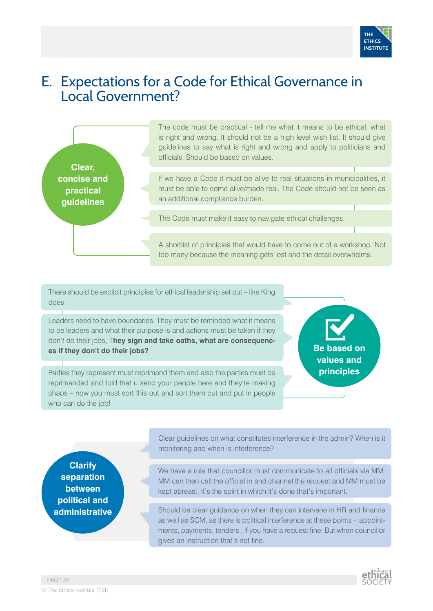

## E. Expectations for a Code for Ethical Governance in Local Government?



The code must be practical - tell me what it means to be ethical, what is right and wrong. It should not be a high level wish list. It should give guidelines to say what is right and wrong and apply to politicians and officials. Should be based on values.

If we have a Code it must be alive to real situations in municipalities, it must be able to come alive/made real. The Code should not be seen as an additional compliance burden.

The Code must make it easy to navigate ethical challenges.

A shortlist of principles that would have to come out of a workshop. Not too many because the meaning gets lost and the detail overwhelms.

There should be explicit principles for ethical leadership set out – like King does.

Leaders need to have boundaries. They must be reminded what it means to be leaders and what their purpose is and actions must be taken if they don't do their jobs, T**hey sign and take oaths, what are consequences if they don't do their jobs?**

Parties they represent must reprimand them and also the parties must be reprimanded and told that u send your people here and they're making chaos – now you must sort this out and sort them out and put in people who can do the job!

**Be based on values and principles**

**Clarify separation between political and administrative** Clear guidelines on what constitutes interference in the admin? When is it monitoring and when is interference?

We have a rule that councillor must communicate to all officials via MM. MM can then call the official in and channel the request and MM must be kept abreast. It's the spirit in which it's done that's important.

Should be clear guidance on when they can intervene in HR and finance as well as SCM, as there is political interference at these points - appointments, payments, tenders . If you have a request fine. But when councillor gives an instruction that's not fine.

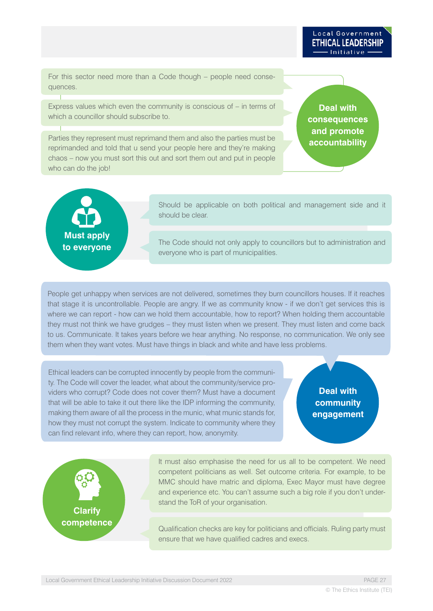Initiative

For this sector need more than a Code though – people need consequences.

Express values which even the community is conscious of – in terms of which a councillor should subscribe to.

Parties they represent must reprimand them and also the parties must be reprimanded and told that u send your people here and they're making chaos – now you must sort this out and sort them out and put in people who can do the job!

**Deal with consequences and promote accountability**

Local Government **ETHICAL LEADERSHIP** 



Should be applicable on both political and management side and it should be clear.

The Code should not only apply to councillors but to administration and everyone who is part of municipalities.

People get unhappy when services are not delivered, sometimes they burn councillors houses. If it reaches that stage it is uncontrollable. People are angry. If we as community know - if we don't get services this is where we can report - how can we hold them accountable, how to report? When holding them accountable they must not think we have grudges – they must listen when we present. They must listen and come back to us. Communicate. It takes years before we hear anything. No response, no communication. We only see them when they want votes. Must have things in black and white and have less problems.

Ethical leaders can be corrupted innocently by people from the community. The Code will cover the leader, what about the community/service providers who corrupt? Code does not cover them? Must have a document that will be able to take it out there like the IDP informing the community, making them aware of all the process in the munic, what munic stands for, how they must not corrupt the system. Indicate to community where they can find relevant info, where they can report, how, anonymity.

### **Deal with community engagement**



It must also emphasise the need for us all to be competent. We need competent politicians as well. Set outcome criteria. For example, to be MMC should have matric and diploma, Exec Mayor must have degree and experience etc. You can't assume such a big role if you don't understand the ToR of your organisation.

Qualification checks are key for politicians and officials. Ruling party must ensure that we have qualified cadres and execs.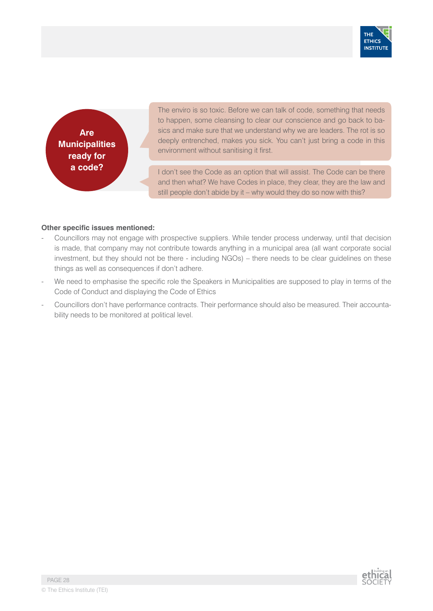

**Are Municipalities ready for a code?**

The enviro is so toxic. Before we can talk of code, something that needs to happen, some cleansing to clear our conscience and go back to basics and make sure that we understand why we are leaders. The rot is so deeply entrenched, makes you sick. You can't just bring a code in this environment without sanitising it first.

I don't see the Code as an option that will assist. The Code can be there and then what? We have Codes in place, they clear, they are the law and still people don't abide by it – why would they do so now with this?

#### **Other specific issues mentioned:**

- Councillors may not engage with prospective suppliers. While tender process underway, until that decision is made, that company may not contribute towards anything in a municipal area (all want corporate social investment, but they should not be there - including NGOs) – there needs to be clear guidelines on these things as well as consequences if don't adhere.
- We need to emphasise the specific role the Speakers in Municipalities are supposed to play in terms of the Code of Conduct and displaying the Code of Ethics
- Councillors don't have performance contracts. Their performance should also be measured. Their accountability needs to be monitored at political level.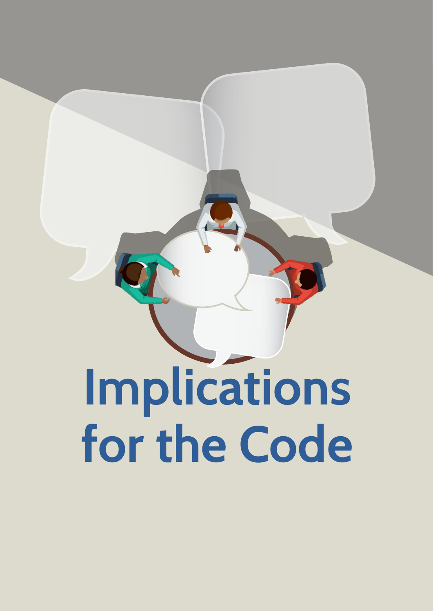**Implications for the Code**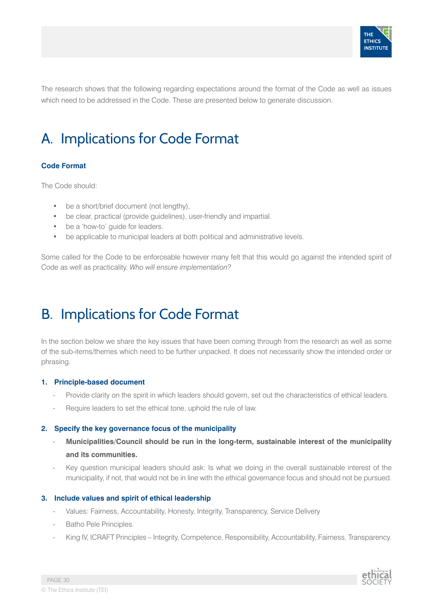

The research shows that the following regarding expectations around the format of the Code as well as issues which need to be addressed in the Code. These are presented below to generate discussion.

## A. Implications for Code Format

#### **Code Format**

The Code should:

- be a short/brief document (not lengthy),
- be clear, practical (provide guidelines), user-friendly and impartial.
- be a 'how-to' quide for leaders.
- be applicable to municipal leaders at both political and administrative levels.

Some called for the Code to be enforceable however many felt that this would go against the intended spirit of Code as well as practicality. *Who will ensure implementation?*

## B. Implications for Code Format

In the section below we share the key issues that have been coming through from the research as well as some of the sub-items/themes which need to be further unpacked. It does not necessarily show the intended order or phrasing.

#### **1. Principle-based document**

- Provide clarity on the spirit in which leaders should govern, set out the characteristics of ethical leaders.
- Require leaders to set the ethical tone, uphold the rule of law.

#### **2. Specify the key governance focus of the municipality**

- **Municipalities/Council should be run in the long-term, sustainable interest of the municipality and its communities.**
- Key question municipal leaders should ask: Is what we doing in the overall sustainable interest of the municipality, if not, that would not be in line with the ethical governance focus and should not be pursued.

#### **3. Include values and spirit of ethical leadership**

- Values: Fairness, Accountability, Honesty, Integrity, Transparency, Service Delivery
- Batho Pele Principles.
- King IV, ICRAFT Principles Integrity, Competence, Responsibility, Accountability, Fairness, Transparency.

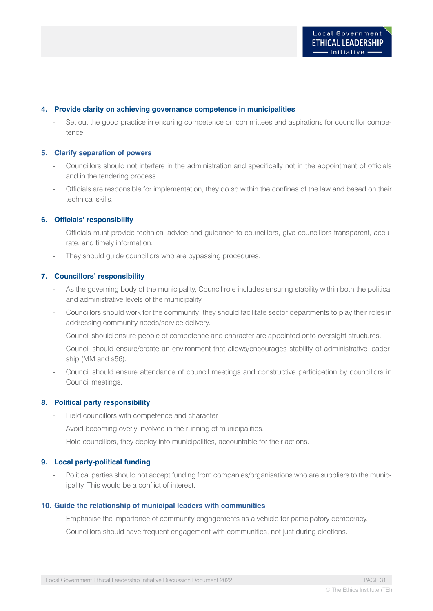#### **4. Provide clarity on achieving governance competence in municipalities**

Set out the good practice in ensuring competence on committees and aspirations for councillor competence.

#### **5. Clarify separation of powers**

- Councillors should not interfere in the administration and specifically not in the appointment of officials and in the tendering process.
- Officials are responsible for implementation, they do so within the confines of the law and based on their technical skills.

#### **6. Officials' responsibility**

- Officials must provide technical advice and guidance to councillors, give councillors transparent, accurate, and timely information.
- They should guide councillors who are bypassing procedures.

#### **7. Councillors' responsibility**

- As the governing body of the municipality, Council role includes ensuring stability within both the political and administrative levels of the municipality.
- Councillors should work for the community; they should facilitate sector departments to play their roles in addressing community needs/service delivery.
- Council should ensure people of competence and character are appointed onto oversight structures.
- Council should ensure/create an environment that allows/encourages stability of administrative leadership (MM and s56).
- Council should ensure attendance of council meetings and constructive participation by councillors in Council meetings.

#### **8. Political party responsibility**

- Field councillors with competence and character.
- Avoid becoming overly involved in the running of municipalities.
- Hold councillors, they deploy into municipalities, accountable for their actions.

#### **9. Local party-political funding**

Political parties should not accept funding from companies/organisations who are suppliers to the municipality. This would be a conflict of interest.

#### **10. Guide the relationship of municipal leaders with communities**

- Emphasise the importance of community engagements as a vehicle for participatory democracy.
- Councillors should have frequent engagement with communities, not just during elections.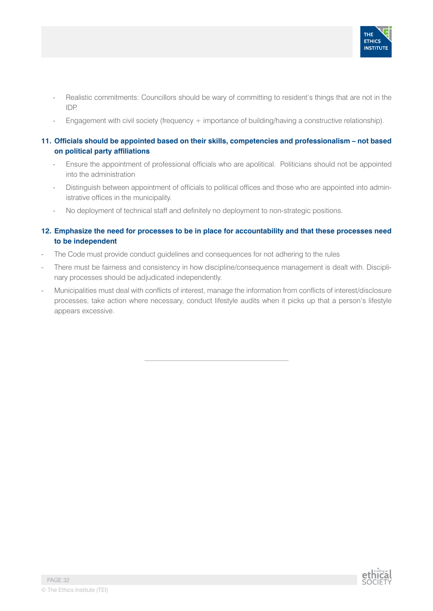

- Realistic commitments: Councillors should be wary of committing to resident's things that are not in the IDP.
- Engagement with civil society (frequency  $+$  importance of building/having a constructive relationship).

#### **11. Officials should be appointed based on their skills, competencies and professionalism – not based on political party affiliations**

- Ensure the appointment of professional officials who are apolitical. Politicians should not be appointed into the administration
- Distinguish between appointment of officials to political offices and those who are appointed into administrative offices in the municipality.
- No deployment of technical staff and definitely no deployment to non-strategic positions.

#### **12. Emphasize the need for processes to be in place for accountability and that these processes need to be independent**

- The Code must provide conduct guidelines and consequences for not adhering to the rules
- There must be fairness and consistency in how discipline/consequence management is dealt with. Disciplinary processes should be adjudicated independently.
- Municipalities must deal with conflicts of interest, manage the information from conflicts of interest/disclosure processes, take action where necessary, conduct lifestyle audits when it picks up that a person's lifestyle appears excessive.